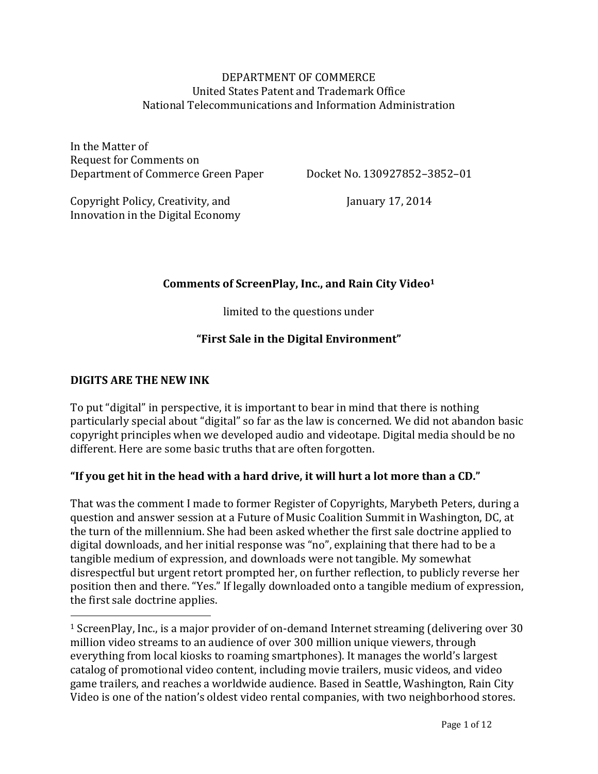#### DEPARTMENT OF COMMERCE United States Patent and Trademark Office National Telecommunications and Information Administration

In the Matter of Request for Comments on Department of Commerce Green Paper

Docket No. 130927852–3852–01

Copyright Policy, Creativity, and Innovation in the Digital Economy January 17, 2014

## Comments of ScreenPlay, Inc., and Rain City Video<sup>1</sup>

limited to the questions under

# **"First Sale in the Digital Environment"**

#### **DIGITS ARE THE NEW INK**

 

To put "digital" in perspective, it is important to bear in mind that there is nothing particularly special about "digital" so far as the law is concerned. We did not abandon basic copyright principles when we developed audio and videotape. Digital media should be no different. Here are some basic truths that are often forgotten.

#### **"If you get hit in the head with a hard drive, it will hurt a lot more than a CD."**

That was the comment I made to former Register of Copyrights, Marybeth Peters, during a question and answer session at a Future of Music Coalition Summit in Washington, DC, at the turn of the millennium. She had been asked whether the first sale doctrine applied to digital downloads, and her initial response was "no", explaining that there had to be a tangible medium of expression, and downloads were not tangible. My somewhat disrespectful but urgent retort prompted her, on further reflection, to publicly reverse her position then and there. "Yes." If legally downloaded onto a tangible medium of expression, the first sale doctrine applies.

 $1$  ScreenPlay, Inc., is a major provider of on-demand Internet streaming (delivering over 30 million video streams to an audience of over 300 million unique viewers, through everything from local kiosks to roaming smartphones). It manages the world's largest catalog of promotional video content, including movie trailers, music videos, and video game trailers, and reaches a worldwide audience. Based in Seattle, Washington, Rain City Video is one of the nation's oldest video rental companies, with two neighborhood stores.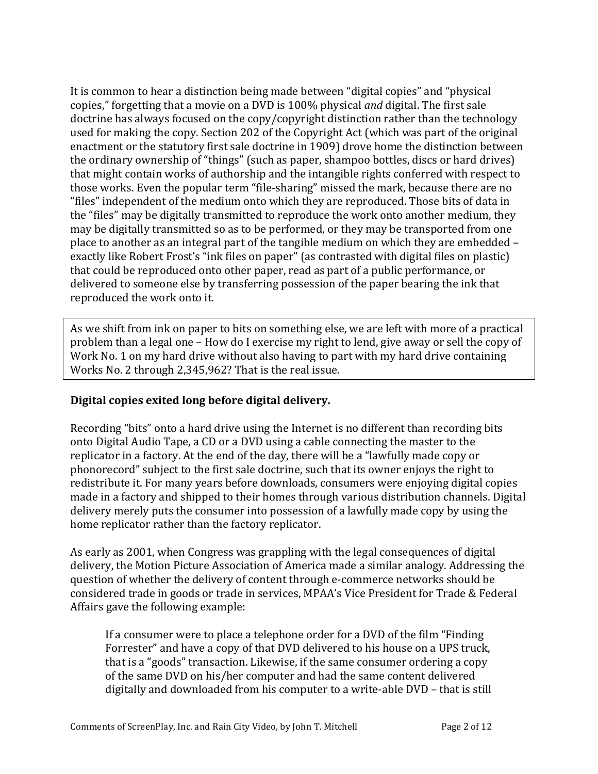It is common to hear a distinction being made between "digital copies" and "physical copies," forgetting that a movie on a DVD is 100% physical *and* digital. The first sale doctrine has always focused on the copy/copyright distinction rather than the technology used for making the copy. Section 202 of the Copyright Act (which was part of the original enactment or the statutory first sale doctrine in 1909) drove home the distinction between the ordinary ownership of "things" (such as paper, shampoo bottles, discs or hard drives) that might contain works of authorship and the intangible rights conferred with respect to those works. Even the popular term "file-sharing" missed the mark, because there are no "files" independent of the medium onto which they are reproduced. Those bits of data in the "files" may be digitally transmitted to reproduce the work onto another medium, they may be digitally transmitted so as to be performed, or they may be transported from one place to another as an integral part of the tangible medium on which they are embedded  $$ exactly like Robert Frost's "ink files on paper" (as contrasted with digital files on plastic) that could be reproduced onto other paper, read as part of a public performance, or delivered to someone else by transferring possession of the paper bearing the ink that reproduced the work onto it.

As we shift from ink on paper to bits on something else, we are left with more of a practical problem than a legal one - How do I exercise my right to lend, give away or sell the copy of Work No. 1 on my hard drive without also having to part with my hard drive containing Works No. 2 through 2,345,962? That is the real issue.

#### Digital copies exited long before digital delivery.

Recording "bits" onto a hard drive using the Internet is no different than recording bits onto Digital Audio Tape, a CD or a DVD using a cable connecting the master to the replicator in a factory. At the end of the day, there will be a "lawfully made copy or phonorecord" subject to the first sale doctrine, such that its owner enjoys the right to redistribute it. For many years before downloads, consumers were enjoying digital copies made in a factory and shipped to their homes through various distribution channels. Digital delivery merely puts the consumer into possession of a lawfully made copy by using the home replicator rather than the factory replicator.

As early as 2001, when Congress was grappling with the legal consequences of digital delivery, the Motion Picture Association of America made a similar analogy. Addressing the question of whether the delivery of content through e-commerce networks should be considered trade in goods or trade in services, MPAA's Vice President for Trade & Federal Affairs gave the following example:

If a consumer were to place a telephone order for a DVD of the film "Finding" Forrester" and have a copy of that DVD delivered to his house on a UPS truck, that is a "goods" transaction. Likewise, if the same consumer ordering a copy of the same DVD on his/her computer and had the same content delivered digitally and downloaded from his computer to a write-able DVD – that is still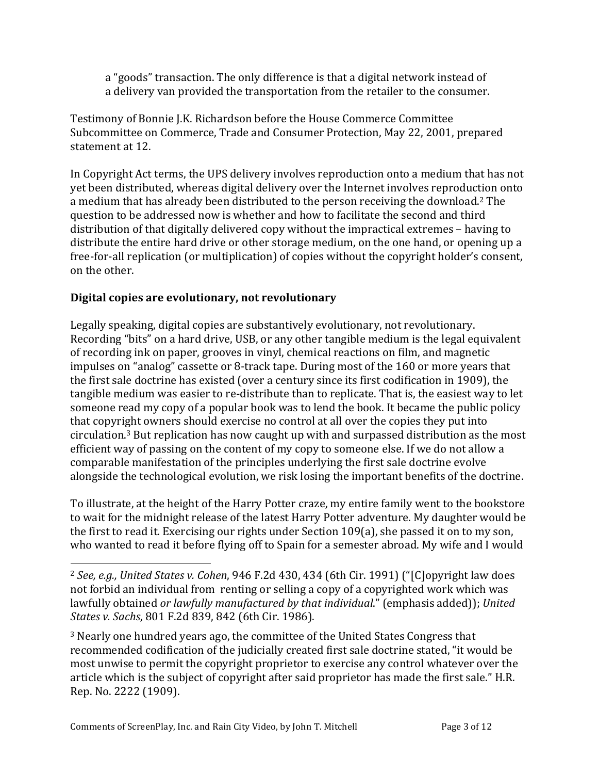a "goods" transaction. The only difference is that a digital network instead of a delivery van provided the transportation from the retailer to the consumer.

Testimony of Bonnie J.K. Richardson before the House Commerce Committee Subcommittee on Commerce, Trade and Consumer Protection, May 22, 2001, prepared statement at 12.

In Copyright Act terms, the UPS delivery involves reproduction onto a medium that has not yet been distributed, whereas digital delivery over the Internet involves reproduction onto a medium that has already been distributed to the person receiving the download.<sup>2</sup> The question to be addressed now is whether and how to facilitate the second and third distribution of that digitally delivered copy without the impractical extremes – having to distribute the entire hard drive or other storage medium, on the one hand, or opening up a free-for-all replication (or multiplication) of copies without the copyright holder's consent, on the other.

# **Digital copies are evolutionary, not revolutionary**

Legally speaking, digital copies are substantively evolutionary, not revolutionary. Recording "bits" on a hard drive, USB, or any other tangible medium is the legal equivalent of recording ink on paper, grooves in vinyl, chemical reactions on film, and magnetic impulses on "analog" cassette or 8-track tape. During most of the 160 or more years that the first sale doctrine has existed (over a century since its first codification in 1909), the tangible medium was easier to re-distribute than to replicate. That is, the easiest way to let someone read my copy of a popular book was to lend the book. It became the public policy that copyright owners should exercise no control at all over the copies they put into circulation.<sup>3</sup> But replication has now caught up with and surpassed distribution as the most efficient way of passing on the content of my copy to someone else. If we do not allow a comparable manifestation of the principles underlying the first sale doctrine evolve alongside the technological evolution, we risk losing the important benefits of the doctrine.

To illustrate, at the height of the Harry Potter craze, my entire family went to the bookstore to wait for the midnight release of the latest Harry Potter adventure. My daughter would be the first to read it. Exercising our rights under Section  $109(a)$ , she passed it on to my son, who wanted to read it before flying off to Spain for a semester abroad. My wife and I would

<sup>3</sup> Nearly one hundred years ago, the committee of the United States Congress that recommended codification of the judicially created first sale doctrine stated, "it would be most unwise to permit the copyright proprietor to exercise any control whatever over the article which is the subject of copyright after said proprietor has made the first sale." H.R. Rep. No. 2222 (1909).

 <sup>2</sup> See, e.g., United States v. Cohen, 946 F.2d 430, 434 (6th Cir. 1991) ("[C]opyright law does not forbid an individual from renting or selling a copy of a copyrighted work which was lawfully obtained *or lawfully manufactured by that individual*." (emphasis added)); United *States v. Sachs*, 801 F.2d 839, 842 (6th Cir. 1986).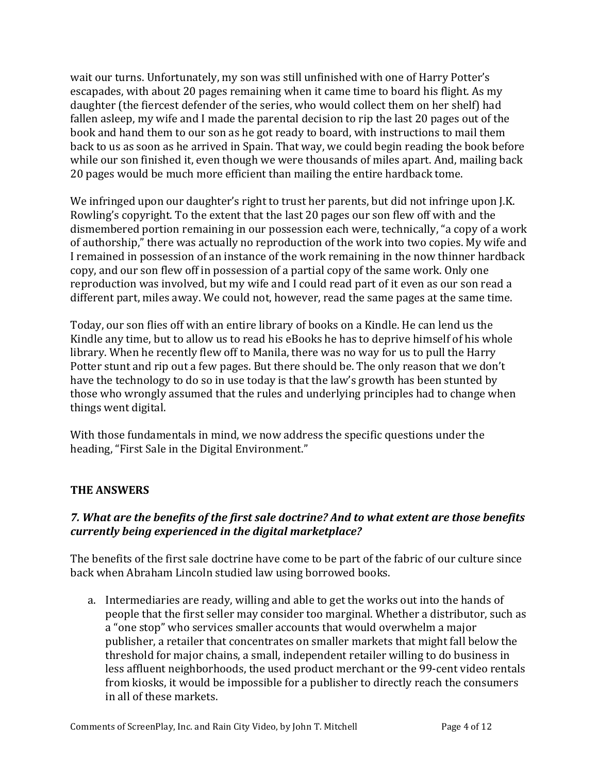wait our turns. Unfortunately, my son was still unfinished with one of Harry Potter's escapades, with about 20 pages remaining when it came time to board his flight. As my daughter (the fiercest defender of the series, who would collect them on her shelf) had fallen asleep, my wife and I made the parental decision to rip the last 20 pages out of the book and hand them to our son as he got ready to board, with instructions to mail them back to us as soon as he arrived in Spain. That way, we could begin reading the book before while our son finished it, even though we were thousands of miles apart. And, mailing back 20 pages would be much more efficient than mailing the entire hardback tome.

We infringed upon our daughter's right to trust her parents, but did not infringe upon J.K. Rowling's copyright. To the extent that the last 20 pages our son flew off with and the dismembered portion remaining in our possession each were, technically, "a copy of a work of authorship," there was actually no reproduction of the work into two copies. My wife and I remained in possession of an instance of the work remaining in the now thinner hardback copy, and our son flew off in possession of a partial copy of the same work. Only one reproduction was involved, but my wife and I could read part of it even as our son read a different part, miles away. We could not, however, read the same pages at the same time.

Today, our son flies off with an entire library of books on a Kindle. He can lend us the Kindle any time, but to allow us to read his eBooks he has to deprive himself of his whole library. When he recently flew off to Manila, there was no way for us to pull the Harry Potter stunt and rip out a few pages. But there should be. The only reason that we don't have the technology to do so in use today is that the law's growth has been stunted by those who wrongly assumed that the rules and underlying principles had to change when things went digital.

With those fundamentals in mind, we now address the specific questions under the heading, "First Sale in the Digital Environment."

# **THE ANSWERS**

## 7. What are the benefits of the first sale doctrine? And to what extent are those benefits *currently being experienced in the digital marketplace?*

The benefits of the first sale doctrine have come to be part of the fabric of our culture since back when Abraham Lincoln studied law using borrowed books.

a. Intermediaries are ready, willing and able to get the works out into the hands of people that the first seller may consider too marginal. Whether a distributor, such as a "one stop" who services smaller accounts that would overwhelm a major publisher, a retailer that concentrates on smaller markets that might fall below the threshold for major chains, a small, independent retailer willing to do business in less affluent neighborhoods, the used product merchant or the 99-cent video rentals from kiosks, it would be impossible for a publisher to directly reach the consumers in all of these markets.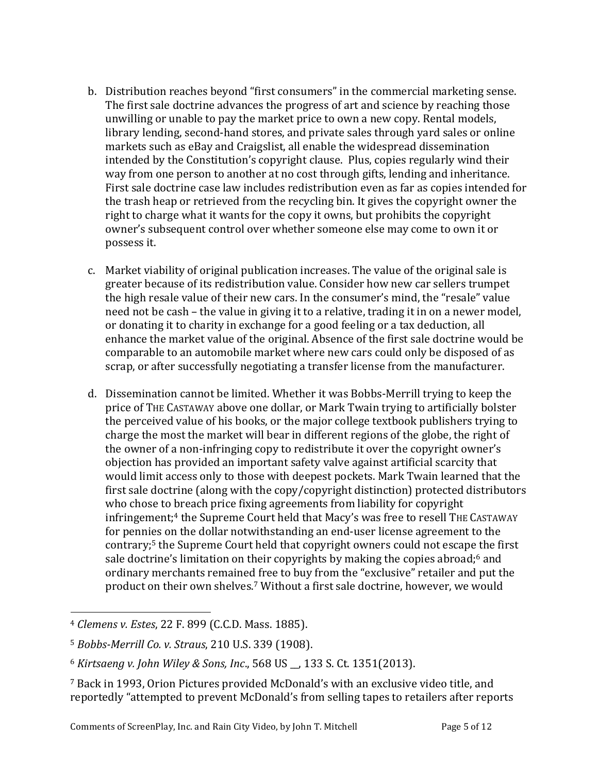- b. Distribution reaches beyond "first consumers" in the commercial marketing sense. The first sale doctrine advances the progress of art and science by reaching those unwilling or unable to pay the market price to own a new copy. Rental models, library lending, second-hand stores, and private sales through yard sales or online markets such as eBay and Craigslist, all enable the widespread dissemination intended by the Constitution's copyright clause. Plus, copies regularly wind their way from one person to another at no cost through gifts, lending and inheritance. First sale doctrine case law includes redistribution even as far as copies intended for the trash heap or retrieved from the recycling bin. It gives the copyright owner the right to charge what it wants for the copy it owns, but prohibits the copyright owner's subsequent control over whether someone else may come to own it or possess it.
- c. Market viability of original publication increases. The value of the original sale is greater because of its redistribution value. Consider how new car sellers trumpet the high resale value of their new cars. In the consumer's mind, the "resale" value need not be cash – the value in giving it to a relative, trading it in on a newer model, or donating it to charity in exchange for a good feeling or a tax deduction, all enhance the market value of the original. Absence of the first sale doctrine would be comparable to an automobile market where new cars could only be disposed of as scrap, or after successfully negotiating a transfer license from the manufacturer.
- d. Dissemination cannot be limited. Whether it was Bobbs-Merrill trying to keep the price of THE CASTAWAY above one dollar, or Mark Twain trying to artificially bolster the perceived value of his books, or the major college textbook publishers trying to charge the most the market will bear in different regions of the globe, the right of the owner of a non-infringing copy to redistribute it over the copyright owner's objection has provided an important safety valve against artificial scarcity that would limit access only to those with deepest pockets. Mark Twain learned that the first sale doctrine  $\alpha$  (along with the copy/copyright distinction) protected distributors who chose to breach price fixing agreements from liability for copyright infringement;<sup>4</sup> the Supreme Court held that Macy's was free to resell THE CASTAWAY for pennies on the dollar notwithstanding an end-user license agreement to the contrary;<sup>5</sup> the Supreme Court held that copyright owners could not escape the first sale doctrine's limitation on their copyrights by making the copies abroad;<sup>6</sup> and ordinary merchants remained free to buy from the "exclusive" retailer and put the product on their own shelves.<sup>7</sup> Without a first sale doctrine, however, we would

 <sup>4</sup> *Clemens v. Estes*, 22 F. 899 (C.C.D. Mass. 1885).

<sup>5</sup> *Bobbs-Merrill Co. v. Straus*, 210 U.S. 339 (1908). 

<sup>&</sup>lt;sup>6</sup> Kirtsaeng v. John Wiley & Sons, Inc., 568 US \_, 133 S. Ct. 1351(2013).

<sup>&</sup>lt;sup>7</sup> Back in 1993, Orion Pictures provided McDonald's with an exclusive video title, and reportedly "attempted to prevent McDonald's from selling tapes to retailers after reports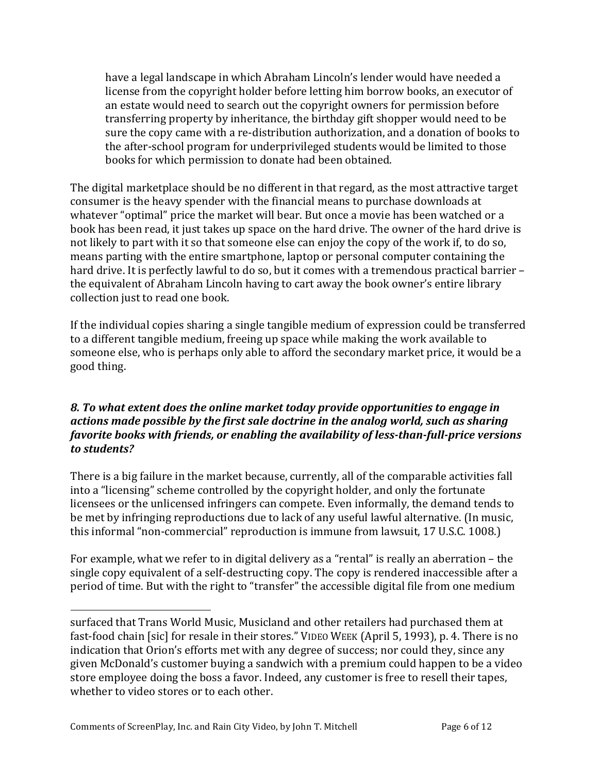have a legal landscape in which Abraham Lincoln's lender would have needed a license from the copyright holder before letting him borrow books, an executor of an estate would need to search out the copyright owners for permission before transferring property by inheritance, the birthday gift shopper would need to be sure the copy came with a re-distribution authorization, and a donation of books to the after-school program for underprivileged students would be limited to those books for which permission to donate had been obtained.

The digital marketplace should be no different in that regard, as the most attractive target consumer is the heavy spender with the financial means to purchase downloads at whatever "optimal" price the market will bear. But once a movie has been watched or a book has been read, it just takes up space on the hard drive. The owner of the hard drive is not likely to part with it so that someone else can enjoy the copy of the work if, to do so, means parting with the entire smartphone, laptop or personal computer containing the hard drive. It is perfectly lawful to do so, but it comes with a tremendous practical barrier the equivalent of Abraham Lincoln having to cart away the book owner's entire library collection just to read one book.

If the individual copies sharing a single tangible medium of expression could be transferred to a different tangible medium, freeing up space while making the work available to someone else, who is perhaps only able to afford the secondary market price, it would be a good thing.

## **8.** To what extent does the online market today provide opportunities to engage in *actions made possible by the first sale doctrine in the analog world, such as sharing favorite books with friends, or enabling the availability of less-than-full-price versions to students?*

There is a big failure in the market because, currently, all of the comparable activities fall into a "licensing" scheme controlled by the copyright holder, and only the fortunate licensees or the unlicensed infringers can compete. Even informally, the demand tends to be met by infringing reproductions due to lack of any useful lawful alternative. (In music, this informal "non-commercial" reproduction is immune from lawsuit, 17 U.S.C. 1008.)

For example, what we refer to in digital delivery as a "rental" is really an aberration  $-$  the single copy equivalent of a self-destructing copy. The copy is rendered inaccessible after a period of time. But with the right to "transfer" the accessible digital file from one medium

 

surfaced that Trans World Music, Musicland and other retailers had purchased them at fast-food chain [sic] for resale in their stores." VIDEO WEEK (April 5, 1993), p. 4. There is no indication that Orion's efforts met with any degree of success; nor could they, since any given McDonald's customer buying a sandwich with a premium could happen to be a video store employee doing the boss a favor. Indeed, any customer is free to resell their tapes, whether to video stores or to each other.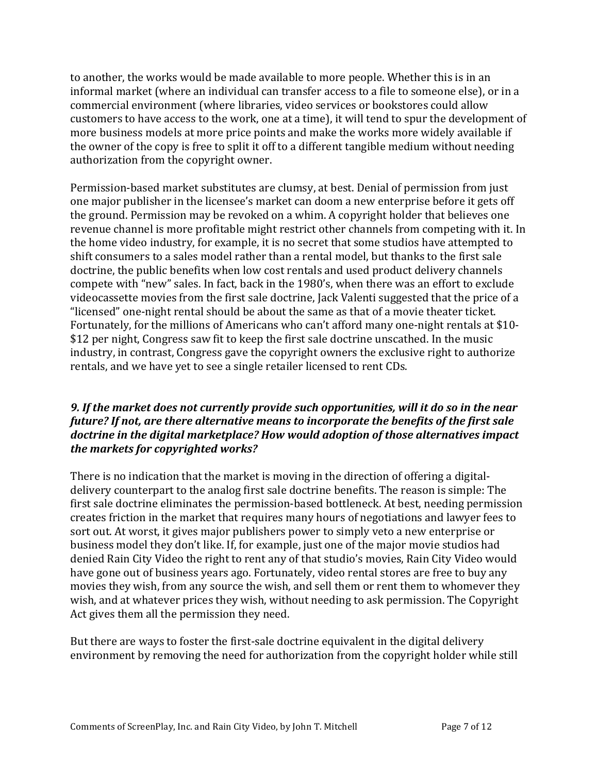to another, the works would be made available to more people. Whether this is in an informal market (where an individual can transfer access to a file to someone else), or in a commercial environment (where libraries, video services or bookstores could allow customers to have access to the work, one at a time), it will tend to spur the development of more business models at more price points and make the works more widely available if the owner of the copy is free to split it off to a different tangible medium without needing authorization from the copyright owner.

Permission-based market substitutes are clumsy, at best. Denial of permission from just one major publisher in the licensee's market can doom a new enterprise before it gets off the ground. Permission may be revoked on a whim. A copyright holder that believes one revenue channel is more profitable might restrict other channels from competing with it. In the home video industry, for example, it is no secret that some studios have attempted to shift consumers to a sales model rather than a rental model, but thanks to the first sale doctrine, the public benefits when low cost rentals and used product delivery channels compete with "new" sales. In fact, back in the 1980's, when there was an effort to exclude videocassette movies from the first sale doctrine, Jack Valenti suggested that the price of a "licensed" one-night rental should be about the same as that of a movie theater ticket. Fortunately, for the millions of Americans who can't afford many one-night rentals at \$10-\$12 per night, Congress saw fit to keep the first sale doctrine unscathed. In the music industry, in contrast, Congress gave the copyright owners the exclusive right to authorize rentals, and we have yet to see a single retailer licensed to rent CDs.

## 9. If the market does not currently provide such opportunities, will it do so in the near *future?* If not, are there alternative means to incorporate the benefits of the first sale *doctrine in the digital marketplace?* How would adoption of those alternatives impact *the markets for copyrighted works?*

There is no indication that the market is moving in the direction of offering a digitaldelivery counterpart to the analog first sale doctrine benefits. The reason is simple: The first sale doctrine eliminates the permission-based bottleneck. At best, needing permission creates friction in the market that requires many hours of negotiations and lawyer fees to sort out. At worst, it gives major publishers power to simply veto a new enterprise or business model they don't like. If, for example, just one of the major movie studios had denied Rain City Video the right to rent any of that studio's movies, Rain City Video would have gone out of business years ago. Fortunately, video rental stores are free to buy any movies they wish, from any source the wish, and sell them or rent them to whomever they wish, and at whatever prices they wish, without needing to ask permission. The Copyright Act gives them all the permission they need.

But there are ways to foster the first-sale doctrine equivalent in the digital delivery environment by removing the need for authorization from the copyright holder while still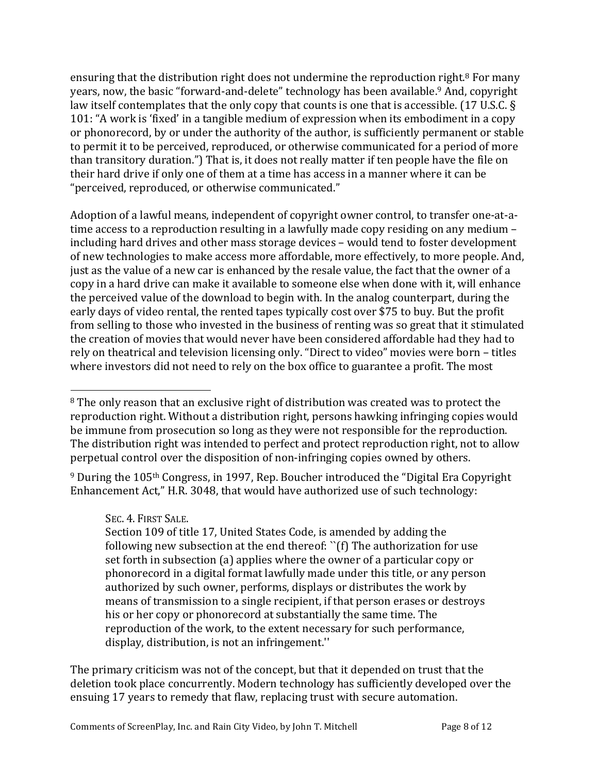ensuring that the distribution right does not undermine the reproduction right.<sup>8</sup> For many years, now, the basic "forward-and-delete" technology has been available.<sup>9</sup> And, copyright law itself contemplates that the only copy that counts is one that is accessible.  $(17 \text{ U.S.C.} \text{S})$ 101: "A work is 'fixed' in a tangible medium of expression when its embodiment in a copy or phonorecord, by or under the authority of the author, is sufficiently permanent or stable to permit it to be perceived, reproduced, or otherwise communicated for a period of more than transitory duration.") That is, it does not really matter if ten people have the file on their hard drive if only one of them at a time has access in a manner where it can be "perceived, reproduced, or otherwise communicated."

Adoption of a lawful means, independent of copyright owner control, to transfer one-at-atime access to a reproduction resulting in a lawfully made copy residing on any medium  $$ including hard drives and other mass storage devices – would tend to foster development of new technologies to make access more affordable, more effectively, to more people. And, just as the value of a new car is enhanced by the resale value, the fact that the owner of a copy in a hard drive can make it available to someone else when done with it, will enhance the perceived value of the download to begin with. In the analog counterpart, during the early days of video rental, the rented tapes typically cost over \$75 to buy. But the profit from selling to those who invested in the business of renting was so great that it stimulated the creation of movies that would never have been considered affordable had they had to rely on theatrical and television licensing only. "Direct to video" movies were born - titles where investors did not need to rely on the box office to guarantee a profit. The most

<sup>9</sup> During the 105<sup>th</sup> Congress, in 1997, Rep. Boucher introduced the "Digital Era Copyright Enhancement Act," H.R. 3048, that would have authorized use of such technology:

SEC. 4. FIRST SALE.

 

Section 109 of title 17, United States Code, is amended by adding the following new subsection at the end thereof:  $\lq$ (f) The authorization for use set forth in subsection (a) applies where the owner of a particular copy or phonorecord in a digital format lawfully made under this title, or any person authorized by such owner, performs, displays or distributes the work by means of transmission to a single recipient, if that person erases or destroys his or her copy or phonorecord at substantially the same time. The reproduction of the work, to the extent necessary for such performance, display, distribution, is not an infringement."

The primary criticism was not of the concept, but that it depended on trust that the deletion took place concurrently. Modern technology has sufficiently developed over the ensuing 17 years to remedy that flaw, replacing trust with secure automation.

 $8$  The only reason that an exclusive right of distribution was created was to protect the reproduction right. Without a distribution right, persons hawking infringing copies would be immune from prosecution so long as they were not responsible for the reproduction. The distribution right was intended to perfect and protect reproduction right, not to allow perpetual control over the disposition of non-infringing copies owned by others.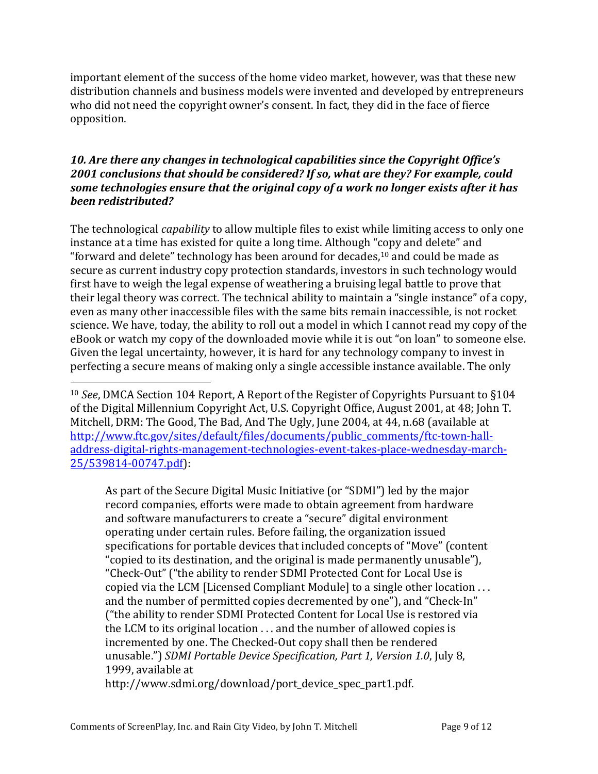important element of the success of the home video market, however, was that these new distribution channels and business models were invented and developed by entrepreneurs who did not need the copyright owner's consent. In fact, they did in the face of fierce opposition.

## **10.** Are there any changes in technological capabilities since the Copyright Office's 2001 conclusions that should be considered? If so, what are they? For example, could some technologies ensure that the original copy of a work no longer exists after it has *been redistributed?*

The technological *capability* to allow multiple files to exist while limiting access to only one instance at a time has existed for quite a long time. Although "copy and delete" and "forward and delete" technology has been around for decades, $10$  and could be made as secure as current industry copy protection standards, investors in such technology would first have to weigh the legal expense of weathering a bruising legal battle to prove that their legal theory was correct. The technical ability to maintain a "single instance" of a copy, even as many other inaccessible files with the same bits remain inaccessible, is not rocket science. We have, today, the ability to roll out a model in which I cannot read my copy of the eBook or watch my copy of the downloaded movie while it is out "on loan" to someone else. Given the legal uncertainty, however, it is hard for any technology company to invest in perfecting a secure means of making only a single accessible instance available. The only

As part of the Secure Digital Music Initiative (or "SDMI") led by the major record companies, efforts were made to obtain agreement from hardware and software manufacturers to create a "secure" digital environment operating under certain rules. Before failing, the organization issued specifications for portable devices that included concepts of "Move" (content "copied to its destination, and the original is made permanently unusable"), "Check-Out" ("the ability to render SDMI Protected Cont for Local Use is copied via the LCM [Licensed Compliant Module] to a single other location  $\dots$ and the number of permitted copies decremented by one"), and "Check-In" ("the ability to render SDMI Protected Content for Local Use is restored via the LCM to its original location  $\dots$  and the number of allowed copies is incremented by one. The Checked-Out copy shall then be rendered unusable.") *SDMI Portable Device Specification, Part 1, Version 1.0*, July 8, 1999, available at

http://www.sdmi.org/download/port\_device\_spec\_part1.pdf.

 

<sup>&</sup>lt;sup>10</sup> *See*, DMCA Section 104 Report, A Report of the Register of Copyrights Pursuant to §104 of the Digital Millennium Copyright Act, U.S. Copyright Office, August 2001, at 48; John T. Mitchell, DRM: The Good, The Bad, And The Ugly, June 2004, at 44, n.68 (available at http://www.ftc.gov/sites/default/files/documents/public\_comments/ftc-town-halladdress-digital-rights-management-technologies-event-takes-place-wednesday-march-25/539814-00747.pdf):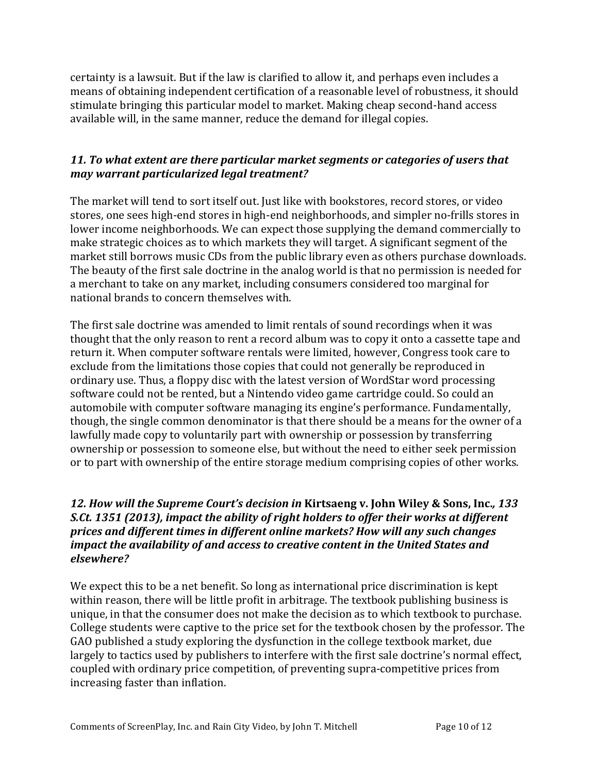certainty is a lawsuit. But if the law is clarified to allow it, and perhaps even includes a means of obtaining independent certification of a reasonable level of robustness, it should stimulate bringing this particular model to market. Making cheap second-hand access available will, in the same manner, reduce the demand for illegal copies.

## **11.** To what extent are there particular market segments or categories of users that *may warrant particularized legal treatment?*

The market will tend to sort itself out. Just like with bookstores, record stores, or video stores, one sees high-end stores in high-end neighborhoods, and simpler no-frills stores in lower income neighborhoods. We can expect those supplying the demand commercially to make strategic choices as to which markets they will target. A significant segment of the market still borrows music CDs from the public library even as others purchase downloads. The beauty of the first sale doctrine in the analog world is that no permission is needed for a merchant to take on any market, including consumers considered too marginal for national brands to concern themselves with.

The first sale doctrine was amended to limit rentals of sound recordings when it was thought that the only reason to rent a record album was to copy it onto a cassette tape and return it. When computer software rentals were limited, however, Congress took care to exclude from the limitations those copies that could not generally be reproduced in ordinary use. Thus, a floppy disc with the latest version of WordStar word processing software could not be rented, but a Nintendo video game cartridge could. So could an automobile with computer software managing its engine's performance. Fundamentally, though, the single common denominator is that there should be a means for the owner of a lawfully made copy to voluntarily part with ownership or possession by transferring ownership or possession to someone else, but without the need to either seek permission or to part with ownership of the entire storage medium comprising copies of other works.

## *12. How will the Supreme Court's decision in Kirtsaeng v. John Wiley & Sons, Inc., 133 S.Ct.* 1351 (2013), impact the ability of right holders to offer their works at different prices and different times in different online markets? How will any such changes *impact the availability of and access to creative content in the United States and elsewhere?*

We expect this to be a net benefit. So long as international price discrimination is kept within reason, there will be little profit in arbitrage. The textbook publishing business is unique, in that the consumer does not make the decision as to which textbook to purchase. College students were captive to the price set for the textbook chosen by the professor. The GAO published a study exploring the dysfunction in the college textbook market, due largely to tactics used by publishers to interfere with the first sale doctrine's normal effect, coupled with ordinary price competition, of preventing supra-competitive prices from increasing faster than inflation.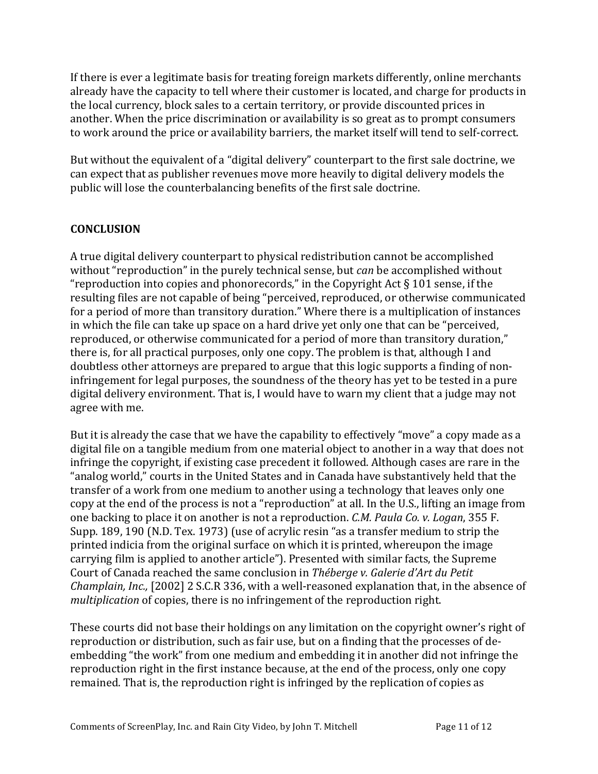If there is ever a legitimate basis for treating foreign markets differently, online merchants already have the capacity to tell where their customer is located, and charge for products in the local currency, block sales to a certain territory, or provide discounted prices in another. When the price discrimination or availability is so great as to prompt consumers to work around the price or availability barriers, the market itself will tend to self-correct.

But without the equivalent of a "digital delivery" counterpart to the first sale doctrine, we can expect that as publisher revenues move more heavily to digital delivery models the public will lose the counterbalancing benefits of the first sale doctrine.

## **CONCLUSION**

A true digital delivery counterpart to physical redistribution cannot be accomplished without "reproduction" in the purely technical sense, but *can* be accomplished without "reproduction into copies and phonorecords," in the Copyright Act  $\S 101$  sense, if the resulting files are not capable of being "perceived, reproduced, or otherwise communicated for a period of more than transitory duration." Where there is a multiplication of instances in which the file can take up space on a hard drive yet only one that can be "perceived, reproduced, or otherwise communicated for a period of more than transitory duration," there is, for all practical purposes, only one copy. The problem is that, although I and doubtless other attorneys are prepared to argue that this logic supports a finding of noninfringement for legal purposes, the soundness of the theory has yet to be tested in a pure digital delivery environment. That is, I would have to warn my client that a judge may not agree with me.

But it is already the case that we have the capability to effectively "move" a copy made as a digital file on a tangible medium from one material object to another in a way that does not infringe the copyright, if existing case precedent it followed. Although cases are rare in the "analog world," courts in the United States and in Canada have substantively held that the transfer of a work from one medium to another using a technology that leaves only one copy at the end of the process is not a "reproduction" at all. In the U.S., lifting an image from one backing to place it on another is not a reproduction. *C.M. Paula Co. v. Logan*, 355 F. Supp. 189, 190 (N.D. Tex. 1973) (use of acrylic resin "as a transfer medium to strip the printed indicia from the original surface on which it is printed, whereupon the image carrying film is applied to another article"). Presented with similar facts, the Supreme Court of Canada reached the same conclusion in *Théberge v. Galerie d'Art du Petit Champlain, Inc.,* [2002] 2 S.C.R 336, with a well-reasoned explanation that, in the absence of *multiplication* of copies, there is no infringement of the reproduction right.

These courts did not base their holdings on any limitation on the copyright owner's right of reproduction or distribution, such as fair use, but on a finding that the processes of deembedding "the work" from one medium and embedding it in another did not infringe the reproduction right in the first instance because, at the end of the process, only one copy remained. That is, the reproduction right is infringed by the replication of copies as